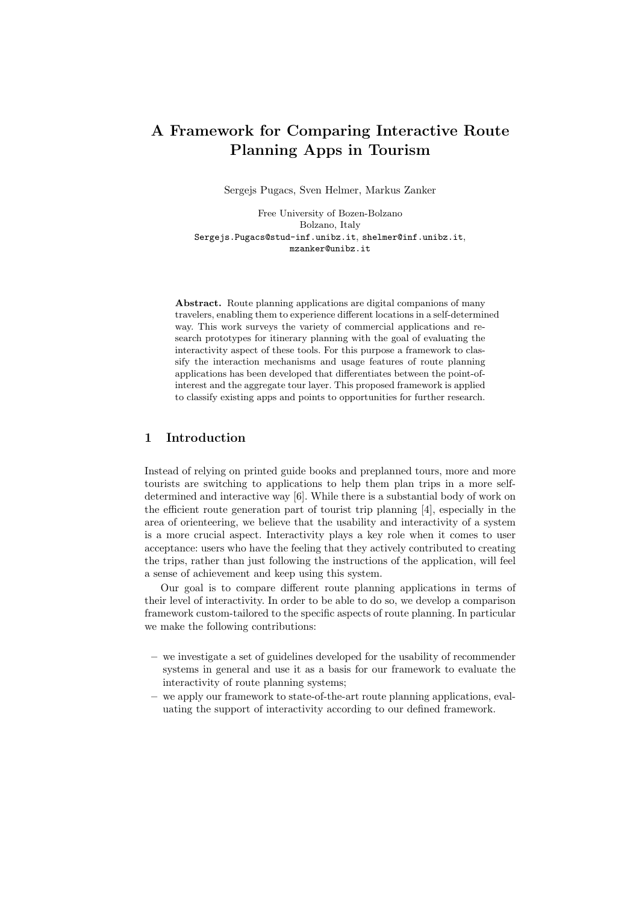# A Framework for Comparing Interactive Route Planning Apps in Tourism

Sergejs Pugacs, Sven Helmer, Markus Zanker

Free University of Bozen-Bolzano Bolzano, Italy Sergejs.Pugacs@stud-inf.unibz.it, shelmer@inf.unibz.it, mzanker@unibz.it

Abstract. Route planning applications are digital companions of many travelers, enabling them to experience different locations in a self-determined way. This work surveys the variety of commercial applications and research prototypes for itinerary planning with the goal of evaluating the interactivity aspect of these tools. For this purpose a framework to classify the interaction mechanisms and usage features of route planning applications has been developed that differentiates between the point-ofinterest and the aggregate tour layer. This proposed framework is applied to classify existing apps and points to opportunities for further research.

# 1 Introduction

Instead of relying on printed guide books and preplanned tours, more and more tourists are switching to applications to help them plan trips in a more selfdetermined and interactive way [6]. While there is a substantial body of work on the efficient route generation part of tourist trip planning [4], especially in the area of orienteering, we believe that the usability and interactivity of a system is a more crucial aspect. Interactivity plays a key role when it comes to user acceptance: users who have the feeling that they actively contributed to creating the trips, rather than just following the instructions of the application, will feel a sense of achievement and keep using this system.

Our goal is to compare different route planning applications in terms of their level of interactivity. In order to be able to do so, we develop a comparison framework custom-tailored to the specific aspects of route planning. In particular we make the following contributions:

- we investigate a set of guidelines developed for the usability of recommender systems in general and use it as a basis for our framework to evaluate the interactivity of route planning systems;
- we apply our framework to state-of-the-art route planning applications, evaluating the support of interactivity according to our defined framework.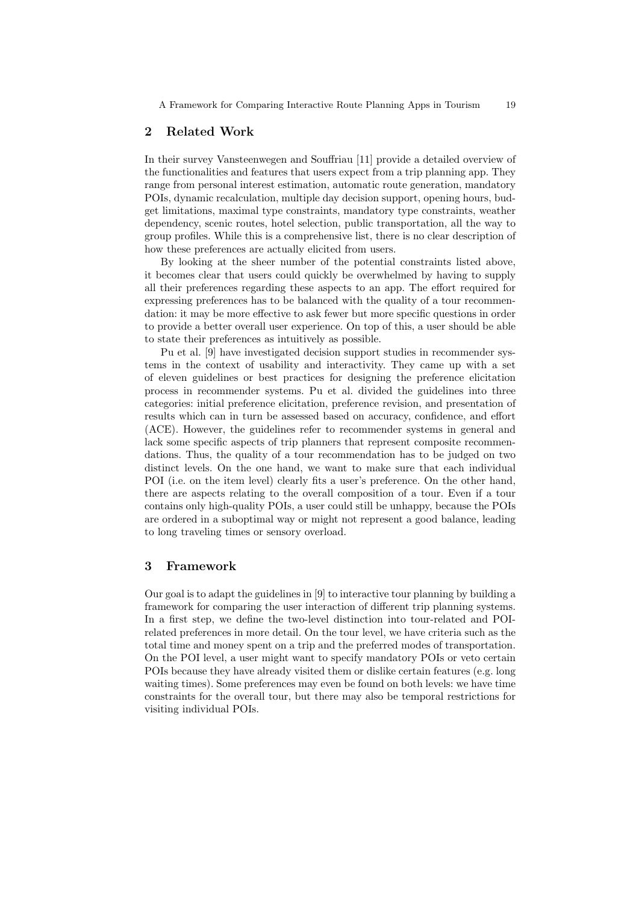## 2 Related Work

In their survey Vansteenwegen and Souffriau [11] provide a detailed overview of the functionalities and features that users expect from a trip planning app. They range from personal interest estimation, automatic route generation, mandatory POIs, dynamic recalculation, multiple day decision support, opening hours, budget limitations, maximal type constraints, mandatory type constraints, weather dependency, scenic routes, hotel selection, public transportation, all the way to group profiles. While this is a comprehensive list, there is no clear description of how these preferences are actually elicited from users.

By looking at the sheer number of the potential constraints listed above, it becomes clear that users could quickly be overwhelmed by having to supply all their preferences regarding these aspects to an app. The effort required for expressing preferences has to be balanced with the quality of a tour recommendation: it may be more effective to ask fewer but more specific questions in order to provide a better overall user experience. On top of this, a user should be able to state their preferences as intuitively as possible.

Pu et al. [9] have investigated decision support studies in recommender systems in the context of usability and interactivity. They came up with a set of eleven guidelines or best practices for designing the preference elicitation process in recommender systems. Pu et al. divided the guidelines into three categories: initial preference elicitation, preference revision, and presentation of results which can in turn be assessed based on accuracy, confidence, and effort (ACE). However, the guidelines refer to recommender systems in general and lack some specific aspects of trip planners that represent composite recommendations. Thus, the quality of a tour recommendation has to be judged on two distinct levels. On the one hand, we want to make sure that each individual POI (i.e. on the item level) clearly fits a user's preference. On the other hand, there are aspects relating to the overall composition of a tour. Even if a tour contains only high-quality POIs, a user could still be unhappy, because the POIs are ordered in a suboptimal way or might not represent a good balance, leading to long traveling times or sensory overload.

## 3 Framework

Our goal is to adapt the guidelines in [9] to interactive tour planning by building a framework for comparing the user interaction of different trip planning systems. In a first step, we define the two-level distinction into tour-related and POIrelated preferences in more detail. On the tour level, we have criteria such as the total time and money spent on a trip and the preferred modes of transportation. On the POI level, a user might want to specify mandatory POIs or veto certain POIs because they have already visited them or dislike certain features (e.g. long waiting times). Some preferences may even be found on both levels: we have time constraints for the overall tour, but there may also be temporal restrictions for visiting individual POIs.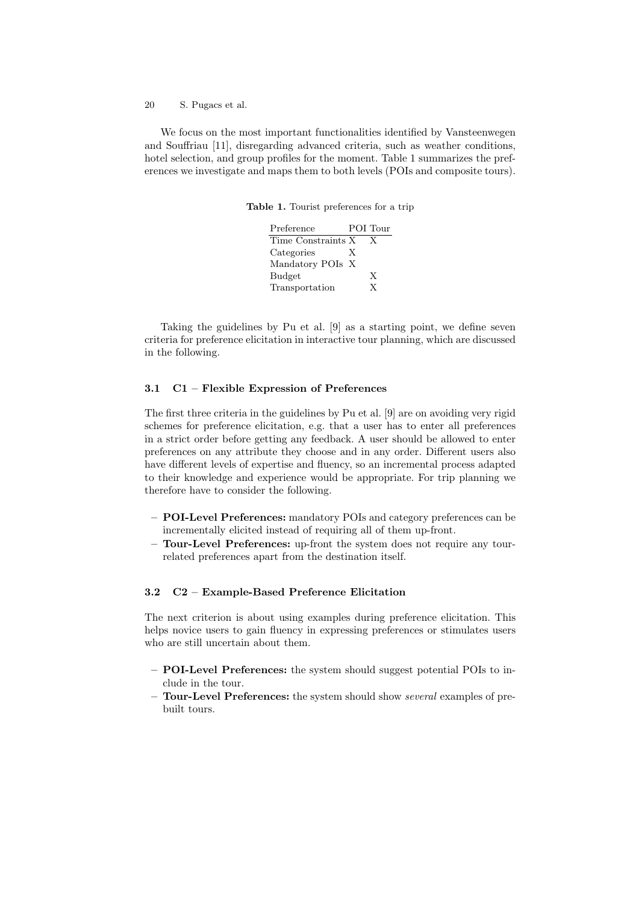20 S. Pugacs et al.

We focus on the most important functionalities identified by Vansteenwegen and Souffriau [11], disregarding advanced criteria, such as weather conditions, hotel selection, and group profiles for the moment. Table 1 summarizes the preferences we investigate and maps them to both levels (POIs and composite tours).

Table 1. Tourist preferences for a trip

| Preference         |   | POI Tour |
|--------------------|---|----------|
| Time Constraints X |   | X        |
| Categories         | X |          |
| Mandatory POIs X   |   |          |
| <b>Budget</b>      |   | X        |
| Transportation     |   | Y        |

Taking the guidelines by Pu et al. [9] as a starting point, we define seven criteria for preference elicitation in interactive tour planning, which are discussed in the following.

### 3.1 C1 – Flexible Expression of Preferences

The first three criteria in the guidelines by Pu et al. [9] are on avoiding very rigid schemes for preference elicitation, e.g. that a user has to enter all preferences in a strict order before getting any feedback. A user should be allowed to enter preferences on any attribute they choose and in any order. Different users also have different levels of expertise and fluency, so an incremental process adapted to their knowledge and experience would be appropriate. For trip planning we therefore have to consider the following.

- POI-Level Preferences: mandatory POIs and category preferences can be incrementally elicited instead of requiring all of them up-front.
- Tour-Level Preferences: up-front the system does not require any tourrelated preferences apart from the destination itself.

### 3.2 C2 – Example-Based Preference Elicitation

The next criterion is about using examples during preference elicitation. This helps novice users to gain fluency in expressing preferences or stimulates users who are still uncertain about them.

- POI-Level Preferences: the system should suggest potential POIs to include in the tour.
- Tour-Level Preferences: the system should show *several* examples of prebuilt tours.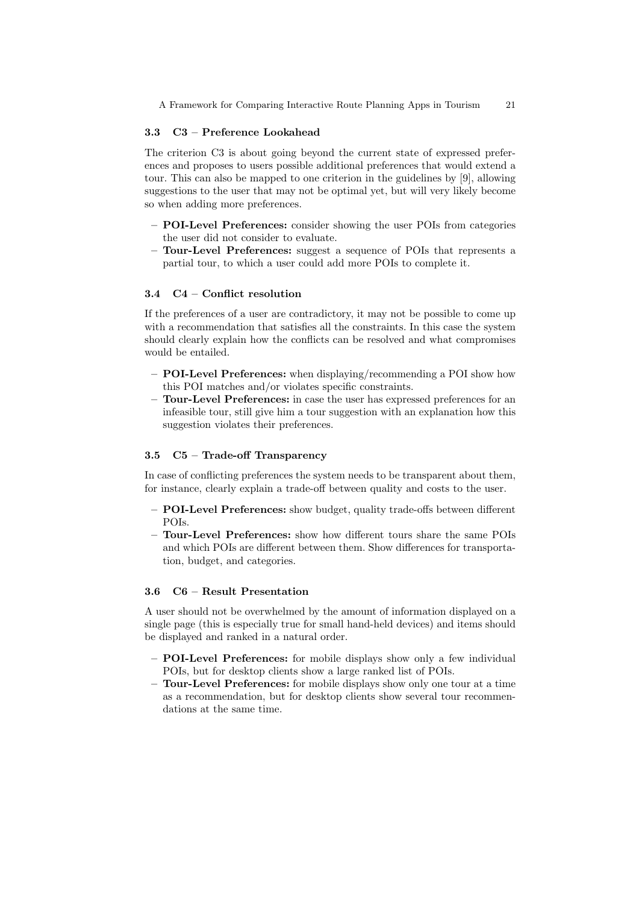A Framework for Comparing Interactive Route Planning Apps in Tourism 21

### 3.3 C3 – Preference Lookahead

The criterion C3 is about going beyond the current state of expressed preferences and proposes to users possible additional preferences that would extend a tour. This can also be mapped to one criterion in the guidelines by [9], allowing suggestions to the user that may not be optimal yet, but will very likely become so when adding more preferences.

- POI-Level Preferences: consider showing the user POIs from categories the user did not consider to evaluate.
- Tour-Level Preferences: suggest a sequence of POIs that represents a partial tour, to which a user could add more POIs to complete it.

### 3.4 C4 – Conflict resolution

If the preferences of a user are contradictory, it may not be possible to come up with a recommendation that satisfies all the constraints. In this case the system should clearly explain how the conflicts can be resolved and what compromises would be entailed.

- POI-Level Preferences: when displaying/recommending a POI show how this POI matches and/or violates specific constraints.
- Tour-Level Preferences: in case the user has expressed preferences for an infeasible tour, still give him a tour suggestion with an explanation how this suggestion violates their preferences.

# 3.5 C5 – Trade-off Transparency

In case of conflicting preferences the system needs to be transparent about them, for instance, clearly explain a trade-off between quality and costs to the user.

- POI-Level Preferences: show budget, quality trade-offs between different POIs.
- Tour-Level Preferences: show how different tours share the same POIs and which POIs are different between them. Show differences for transportation, budget, and categories.

#### 3.6 C6 – Result Presentation

A user should not be overwhelmed by the amount of information displayed on a single page (this is especially true for small hand-held devices) and items should be displayed and ranked in a natural order.

- POI-Level Preferences: for mobile displays show only a few individual POIs, but for desktop clients show a large ranked list of POIs.
- Tour-Level Preferences: for mobile displays show only one tour at a time as a recommendation, but for desktop clients show several tour recommendations at the same time.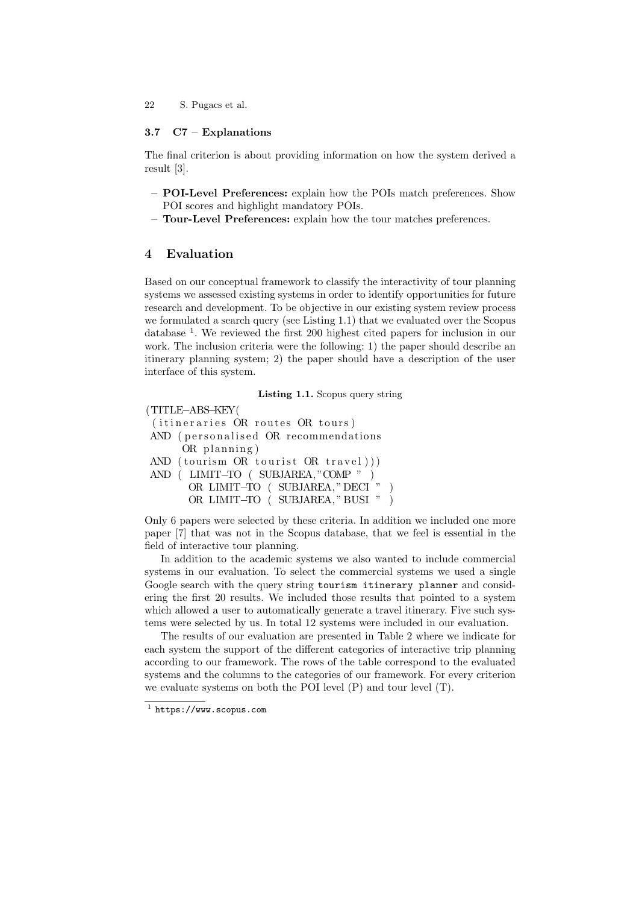22 S. Pugacs et al.

### 3.7 C7 – Explanations

The final criterion is about providing information on how the system derived a result [3].

- POI-Level Preferences: explain how the POIs match preferences. Show POI scores and highlight mandatory POIs.
- Tour-Level Preferences: explain how the tour matches preferences.

# 4 Evaluation

Based on our conceptual framework to classify the interactivity of tour planning systems we assessed existing systems in order to identify opportunities for future research and development. To be objective in our existing system review process we formulated a search query (see Listing 1.1) that we evaluated over the Scopus database<sup>1</sup>. We reviewed the first 200 highest cited papers for inclusion in our work. The inclusion criteria were the following: 1) the paper should describe an itinerary planning system; 2) the paper should have a description of the user interface of this system.

Listing 1.1. Scopus query string

(TITLE−ABS−KEY(  $(i$  tineraries OR routes OR tours) AND (personalised OR recommendations  $OR$  planning) AND (tourism OR tourist OR travel))) AND ( LIMIT−TO ( SUBJAREA, "COMP " ) OR LIMIT<sup>−</sup>TO ( SUBJAREA, " DECI <sup>'</sup> " ) OR LIMIT−TO ( SUBJAREA, " BUSI " )

Only 6 papers were selected by these criteria. In addition we included one more paper [7] that was not in the Scopus database, that we feel is essential in the field of interactive tour planning.

In addition to the academic systems we also wanted to include commercial systems in our evaluation. To select the commercial systems we used a single Google search with the query string tourism itinerary planner and considering the first 20 results. We included those results that pointed to a system which allowed a user to automatically generate a travel itinerary. Five such systems were selected by us. In total 12 systems were included in our evaluation.

The results of our evaluation are presented in Table 2 where we indicate for each system the support of the different categories of interactive trip planning according to our framework. The rows of the table correspond to the evaluated systems and the columns to the categories of our framework. For every criterion we evaluate systems on both the POI level (P) and tour level (T).

<sup>1</sup> https://www.scopus.com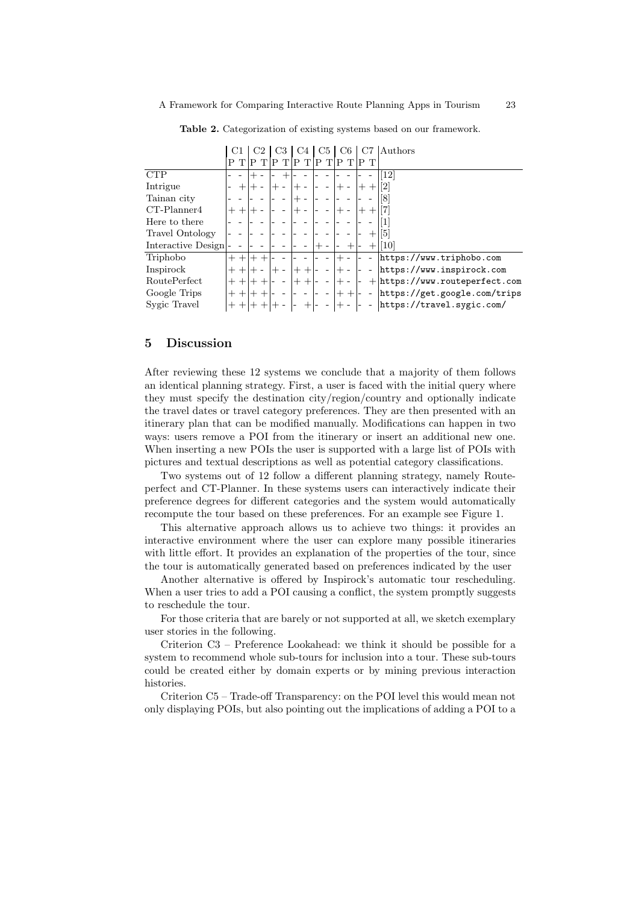|                    |        |        |       |  |      |        |   | C5 |       | C6   |        | Authors                          |
|--------------------|--------|--------|-------|--|------|--------|---|----|-------|------|--------|----------------------------------|
|                    |        |        |       |  |      |        | P |    |       |      |        |                                  |
|                    |        |        |       |  |      |        |   |    |       |      |        |                                  |
| <b>CTP</b>         |        |        |       |  |      |        |   |    |       |      |        | 12                               |
| Intrigue           |        |        |       |  |      |        |   |    |       |      |        | $\left\lceil 2 \right\rceil$     |
| Tainan city        |        |        |       |  |      |        |   |    |       |      |        | 8                                |
| $CT-Planner4$      |        |        |       |  |      |        |   |    |       |      |        |                                  |
| Here to there      |        |        |       |  |      |        |   |    |       |      |        |                                  |
| Travel Ontology    |        |        |       |  |      |        |   |    |       |      | $^{+}$ | 51                               |
| Interactive Design |        |        |       |  |      |        |   |    |       |      | $^+$   | <b>10</b>                        |
| Triphobo           |        | $^+$   |       |  |      |        |   |    |       |      |        | https://www.triphobo.com         |
| Inspirock          |        | $^{+}$ |       |  | $^+$ | $^{+}$ |   |    | $+ -$ |      |        | https://www.inspirock.com        |
| RoutePerfect       |        | $^{+}$ |       |  | $^+$ | $^{+}$ |   |    | $+ -$ |      |        | $+$ https://www.routeperfect.com |
| Google Trips       | $^{+}$ | $^{+}$ |       |  |      |        |   |    |       | $++$ |        | https://get.google.com/trips     |
| Sygic Travel       |        | $++$   | $+ +$ |  |      | $^+$   |   |    | $+ -$ |      |        | https://travel.sygic.com/        |

Table 2. Categorization of existing systems based on our framework.

#### 5 Discussion

After reviewing these 12 systems we conclude that a majority of them follows an identical planning strategy. First, a user is faced with the initial query where they must specify the destination city/region/country and optionally indicate the travel dates or travel category preferences. They are then presented with an itinerary plan that can be modified manually. Modifications can happen in two ways: users remove a POI from the itinerary or insert an additional new one. When inserting a new POIs the user is supported with a large list of POIs with pictures and textual descriptions as well as potential category classifications.

Two systems out of 12 follow a different planning strategy, namely Routeperfect and CT-Planner. In these systems users can interactively indicate their preference degrees for different categories and the system would automatically recompute the tour based on these preferences. For an example see Figure 1.

This alternative approach allows us to achieve two things: it provides an interactive environment where the user can explore many possible itineraries with little effort. It provides an explanation of the properties of the tour, since the tour is automatically generated based on preferences indicated by the user

Another alternative is offered by Inspirock's automatic tour rescheduling. When a user tries to add a POI causing a conflict, the system promptly suggests to reschedule the tour.

For those criteria that are barely or not supported at all, we sketch exemplary user stories in the following.

Criterion C3 – Preference Lookahead: we think it should be possible for a system to recommend whole sub-tours for inclusion into a tour. These sub-tours could be created either by domain experts or by mining previous interaction histories.

Criterion C5 – Trade-off Transparency: on the POI level this would mean not only displaying POIs, but also pointing out the implications of adding a POI to a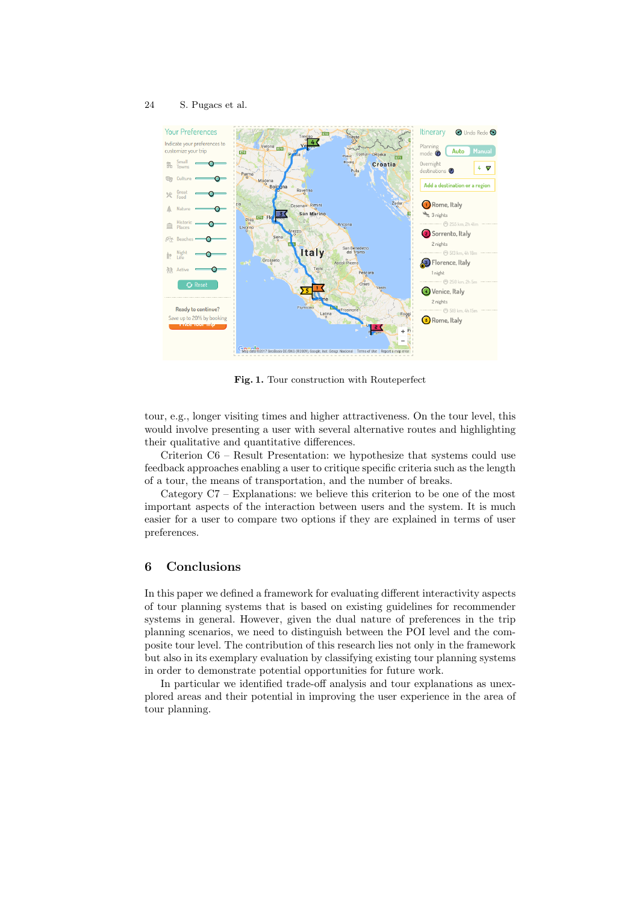### 24 S. Pugacs et al.



Fig. 1. Tour construction with Routeperfect

tour, e.g., longer visiting times and higher attractiveness. On the tour level, this would involve presenting a user with several alternative routes and highlighting their qualitative and quantitative differences.

Criterion C6 – Result Presentation: we hypothesize that systems could use feedback approaches enabling a user to critique specific criteria such as the length of a tour, the means of transportation, and the number of breaks.

Category C7 – Explanations: we believe this criterion to be one of the most important aspects of the interaction between users and the system. It is much easier for a user to compare two options if they are explained in terms of user preferences.

## 6 Conclusions

In this paper we defined a framework for evaluating different interactivity aspects of tour planning systems that is based on existing guidelines for recommender systems in general. However, given the dual nature of preferences in the trip planning scenarios, we need to distinguish between the POI level and the composite tour level. The contribution of this research lies not only in the framework but also in its exemplary evaluation by classifying existing tour planning systems in order to demonstrate potential opportunities for future work.

In particular we identified trade-off analysis and tour explanations as unexplored areas and their potential in improving the user experience in the area of tour planning.